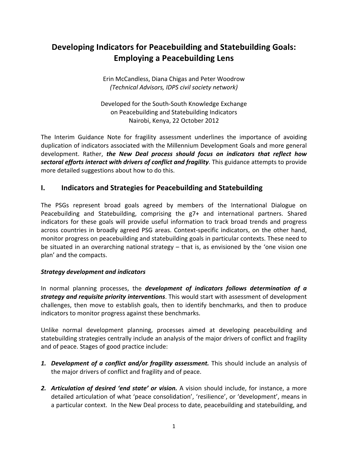# **Developing Indicators for Peacebuilding and Statebuilding Goals: Employing a Peacebuilding Lens**

Erin"McCandless,"Diana"Chigas"and"Peter"Woodrow *(Technical\*Advisors,\*IDPS\*civil\*society\*network)*

Developed for the South-South Knowledge Exchange on Peacebuilding and Statebuilding Indicators Nairobi, Kenya, 22 October 2012

The Interim Guidance Note for fragility assessment underlines the importance of avoiding duplication of indicators associated with the Millennium Development Goals and more general development. Rather, *the New Deal process should focus on indicators that reflect how* sectoral efforts interact with drivers of conflict and fragility. This guidance attempts to provide more detailed suggestions about how to do this.

# **I.** Indicators and Strategies for Peacebuilding and Statebuilding

The PSGs represent broad goals agreed by members of the International Dialogue on Peacebuilding and Statebuilding, comprising the g7+ and international partners. Shared indicators for these goals will provide useful information to track broad trends and progress across countries in broadly agreed PSG areas. Context-specific indicators, on the other hand, monitor progress on peacebuilding and statebuilding goals in particular contexts. These need to be situated in an overarching national strategy – that is, as envisioned by the 'one vision one plan' and the compacts.

#### *Strategy\$development and indicators*

In normal planning processes, the *development of indicators follows determination of a* **strategy and requisite priority interventions**. This would start with assessment of development challenges, then move to establish goals, then to identify benchmarks, and then to produce indicators to monitor progress against these benchmarks.

Unlike normal development planning, processes aimed at developing peacebuilding and statebuilding strategies centrally include an analysis of the major drivers of conflict and fragility and of peace. Stages of good practice include:

- **1. Development of a conflict and/or fragility assessment.** This should include an analysis of the major drivers of conflict and fragility and of peace.
- **2. Articulation of desired 'end state' or vision.** A vision should include, for instance, a more detailed articulation of what 'peace consolidation', 'resilience', or 'development', means in a particular context. In the New Deal process to date, peacebuilding and statebuilding, and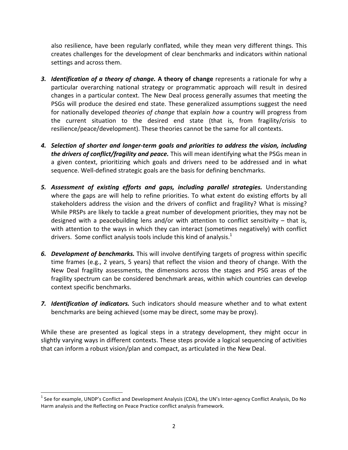also resilience, have been regularly conflated, while they mean very different things. This creates challenges for the development of clear benchmarks and indicators within national settings and across them.

- **3.** *Identification of a theory of change.* A theory of change represents a rationale for why a particular overarching national strategy or programmatic approach will result in desired changes in a particular context. The New Deal process generally assumes that meeting the PSGs will produce the desired end state. These generalized assumptions suggest the need for nationally developed *theories of change* that explain *how* a country will progress from the current situation to the desired end state (that is, from fragility/crisis to resilience/peace/development). These theories cannot be the same for all contexts.
- 4. *Selection of shorter and longer-term goals and priorities to address the vision, including the drivers of conflict/fragility and peace.* This will mean identifying what the PSGs mean in a given context, prioritizing which goals and drivers need to be addressed and in what sequence. Well-defined strategic goals are the basis for defining benchmarks.
- 5. Assessment of existing efforts and gaps, including parallel strategies. Understanding where the gaps are will help to refine priorities. To what extent do existing efforts by all stakeholders address the vision and the drivers of conflict and fragility? What is missing? While PRSPs are likely to tackle a great number of development priorities, they may not be designed with a peacebuilding lens and/or with attention to conflict sensitivity – that is, with attention to the ways in which they can interact (sometimes negatively) with conflict drivers. Some conflict analysis tools include this kind of analysis.<sup>1</sup>
- **6. Development of benchmarks.** This will involve dentifying targets of progress within specific time frames (e.g., 2 years, 5 years) that reflect the vision and theory of change. With the New Deal fragility assessments, the dimensions across the stages and PSG areas of the fragility spectrum can be considered benchmark areas, within which countries can develop context specific benchmarks.
- 7. **Identification of** *indicators*. Such indicators should measure whether and to what extent benchmarks are being achieved (some may be direct, some may be proxy).

While these are presented as logical steps in a strategy development, they might occur in slightly varying ways in different contexts. These steps provide a logical sequencing of activities that can inform a robust vision/plan and compact, as articulated in the New Deal.

""""""""""""""""""""""""""""""""""""""""""""""""""""""""""""

 $1$  See for example, UNDP's Conflict and Development Analysis (CDA), the UN's Inter-agency Conflict Analysis, Do No Harm analysis and the Reflecting on Peace Practice conflict analysis framework.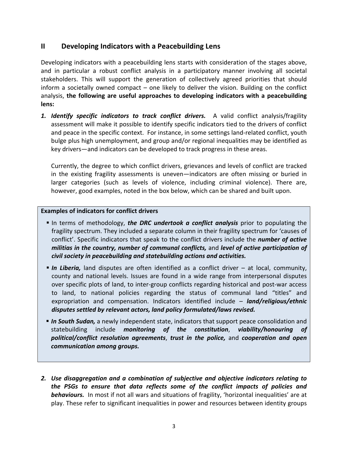# **II** Developing Indicators with a Peacebuilding Lens

Developing indicators with a peacebuilding lens starts with consideration of the stages above, and in particular a robust conflict analysis in a participatory manner involving all societal stakeholders. This will support the generation of collectively agreed priorities that should inform a societally owned compact – one likely to deliver the vision. Building on the conflict analysis,"**the following\*are\* useful\*approaches\* to\* developing indicators\*with\*a peacebuilding\*** lens:

**1. Identify specific indicators to track conflict drivers.** A valid conflict analysis/fragility assessment will make it possible to identify specific indicators tied to the drivers of conflict and peace in the specific context. For instance, in some settings land-related conflict, youth bulge plus high unemployment, and group and/or regional inequalities may be identified as key drivers—and indicators can be developed to track progress in these areas.

Currently, the degree to which conflict drivers, grievances and levels of conflict are tracked in the existing fragility assessments is uneven—indicators are often missing or buried in larger categories (such as levels of violence, including criminal violence). There are, however, good examples, noted in the box below, which can be shared and built upon.

#### **Examples of indicators for conflict drivers**

- **.** In terms of methodology, *the DRC undertook a conflict analysis* prior to populating the fragility spectrum. They included a separate column in their fragility spectrum for 'causes of conflict'. Specific indicators that speak to the conflict drivers include the *number of active militias in the country, number of communal conflicts,* and *level of active participation of* civil society in peacebuilding and statebuilding actions and activities.
- **In Liberia,** land disputes are often identified as a conflict driver at local, community, county and national levels. Issues are found in a wide range from interpersonal disputes over specific plots of land, to inter-group conflicts regarding historical and post-war access to land, to national policies regarding the status of communal land "titles" and expropriation" and" compensation." Indicators" identified" include" – *land/religious/ethnic\$* disputes settled by relevant actors, land policy formulated/laws revised.
- **In South Sudan,** a newly independent state, indicators that support peace consolidation and statebuilding include *monitoring of the constitution*, *viability/honouring of political/conflict\$ resolution\$ agreements*," *trust\$ in\$ the\$ police,\$* and" *cooperation\$ and\$ open\$ communication\$among groups.*
- **2.** Use disaggregation and a combination of subjective and objective indicators relating to the PSGs to ensure that data reflects some of the conflict impacts of policies and **behaviours.** In most if not all wars and situations of fragility, 'horizontal inequalities' are at play. These refer to significant inequalities in power and resources between identity groups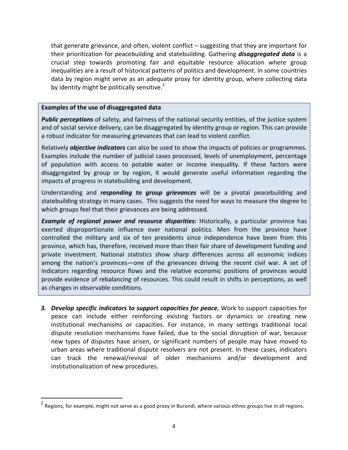that generate grievance, and often, violent conflict – suggesting that they are important for their prioritization for peacebuilding and statebuilding. Gathering **disaggregated data** is a crucial step towards promoting fair and equitable resource allocation where group inequalities are a result of historical patterns of politics and development. In some countries data by region might serve as an adequate proxy for identity group, where collecting data by identity might be politically sensitive.<sup>2</sup>

#### **Examples of the use of disaggregated data**

""""""""""""""""""""""""""""""""""""""""""""""""""""""""""""

**Public perceptions** of safety, and fairness of the national security entities, of the justice system and of social service delivery, can be disaggregated by identity group or region. This can provide a robust indicator for measuring grievances that can lead to violent conflict.

Relatively *objective indicators* can also be used to show the impacts of policies or programmes. Examples include the number of judicial cases processed, levels of unemployment, percentage of population with access to potable water or income inequality. If these factors were disaggregated by group or by region, it would generate useful information regarding the impacts of progress in statebuilding and development.

Understanding and *responding to group grievances* will be a pivotal peacebuilding and statebuilding strategy in many cases. This suggests the need for ways to measure the degree to which groups feel that their grievances are being addressed.

*Example of regional power and resource disparities:* **Historically, a particular province has** exerted disproportionate influence over national politics. Men from the province have controlled the military and six of ten presidents since independence have been from this province, which has, therefore, received more than their fair share of development funding and private investment. National statistics show sharp differences across all economic indices among the nation's provinces—one of the grievances driving the recent civil war. A set of indicators regarding resource flows and the relative economic positions of provinces would provide evidence of rebalancing of resources. This could result in shifts in perceptions, as well as changes in observable conditions.

**3. Develop specific indicators to support capacities for peace.** Work to support capacities for peace can include either reinforcing existing factors or dynamics or creating new institutional mechanisms or capacities. For instance, in many settings traditional local dispute resolution mechanisms have failed, due to the social disruption of war, because new types of disputes have arisen, or significant numbers of people may have moved to urban areas where traditional dispute resolvers are not present. In these cases, indicators can track the renewal/revival of older mechanisms and/or development and institutionalization of new procedures.

<sup>&</sup>lt;sup>2</sup> Regions, for example, might not serve as a good proxy in Burundi, where various ethnic groups live in all regions.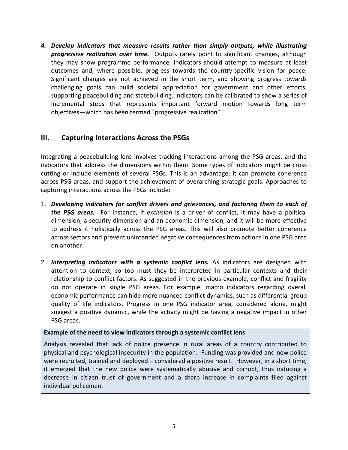4. Develop indicators that measure results rather than simply outputs, while illustrating *progressive realization over time.* Outputs rarely point to significant changes, although they may show programme performance. Indicators should attempt to measure at least outcomes and, where possible, progress towards the country-specific vision for peace. Significant changes are not achieved in the short term, and showing progress towards challenging goals can build societal appreciation for government and other efforts, supporting peacebuilding and statebuilding. Indicators can be calibrated to show a series of incremental steps that represents important forward motion towards long term objectives—which has been termed "progressive realization".

# **III.** Capturing Interactions Across the PSGs

Integrating a peacebuilding lens involves tracking interactions among the PSG areas, and the indicators that address the dimensions within them. Some types of indicators might be cross cutting or include elements of several PSGs. This is an advantage: it can promote coherence across PSG areas, and support the achievement of overarching strategic goals. Approaches to capturing interactions across the PSGs include:

- 1. *Developing indicators for conflict drivers and grievances, and factoring them to each of* **the PSG areas.** For instance, if exclusion is a driver of conflict, it may have a political dimension, a security dimension and an economic dimension, and it will be more effective to address it holistically across the PSG areas. This will also promote better coherence across sectors and prevent unintended negative consequences from actions in one PSG area on another.
- 2. **Interpreting indicators with a systemic conflict lens.** As indicators are designed with attention to context, so too must they be interpreted in particular contexts and their relationship to conflict factors. As suggested in the previous example, conflict and fragility do not operate in single PSG areas. For example, macro indicators regarding overall economic performance can hide more nuanced conflict dynamics, such as differential group quality of life indicators. Progress in one PSG indicator area, considered alone, might suggest a positive dynamic, while the activity might be having a negative impact in other PSG areas.

#### Example of the need to view indicators through a systemic conflict lens

Analysis revealed that lack of police presence in rural areas of a country contributed to physical and psychological insecurity in the population. Funding was provided and new police were recruited, trained and deployed – considered a positive result. However, in a short time, it emerged that the new police were systematically abusive and corrupt, thus inducing a decrease in citizen trust of government and a sharp increase in complaints filed against individual policemen.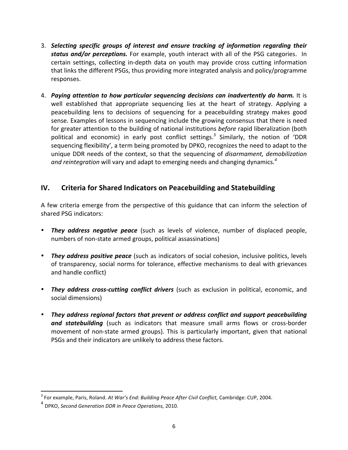- 3. Selecting specific groups of interest and ensure tracking of information regarding their **status and/or perceptions.** For example, youth interact with all of the PSG categories. In certain settings, collecting in-depth data on youth may provide cross cutting information that links the different PSGs, thus providing more integrated analysis and policy/programme responses.
- 4. **Paying attention to how particular sequencing decisions can inadvertently do harm. It is** well established that appropriate sequencing lies at the heart of strategy. Applying a peacebuilding lens to decisions of sequencing for a peacebuilding strategy makes good sense. Examples of lessons in sequencing include the growing consensus that there is need for greater attention to the building of national institutions *before* rapid liberalization (both political and economic) in early post conflict settings.<sup>3</sup> Similarly, the notion of 'DDR sequencing flexibility', a term being promoted by DPKO, recognizes the need to adapt to the unique DDR needs of the context, so that the sequencing of *disarmament, demobilization* and reintegration will vary and adapt to emerging needs and changing dynamics.<sup>4</sup>

# **IV.** Criteria for Shared Indicators on Peacebuilding and Statebuilding

A few criteria emerge from the perspective of this guidance that can inform the selection of shared PSG indicators:

- **They address negative peace** (such as levels of violence, number of displaced people, numbers of non-state armed groups, political assassinations)
- **They address positive peace** (such as indicators of social cohesion, inclusive politics, levels of transparency, social norms for tolerance, effective mechanisms to deal with grievances and handle conflict)
- *They address cross-cutting conflict drivers* (such as exclusion in political, economic, and social dimensions)
- They address regional factors that prevent or address conflict and support peacebuilding **and statebuilding** (such as indicators that measure small arms flows or cross-border movement of non-state armed groups). This is particularly important, given that national PSGs and their indicators are unlikely to address these factors.

""""""""""""""""""""""""""""""""""""""""""""""""""""""""""""

<sup>&</sup>lt;sup>3</sup> For example, Paris, Roland. *At War's End: Building Peace After Civil Conflict, Cambridge: CUP, 2004.* 

<sup>&</sup>lt;sup>4</sup> DPKO, Second Generation DDR in Peace Operations, 2010.